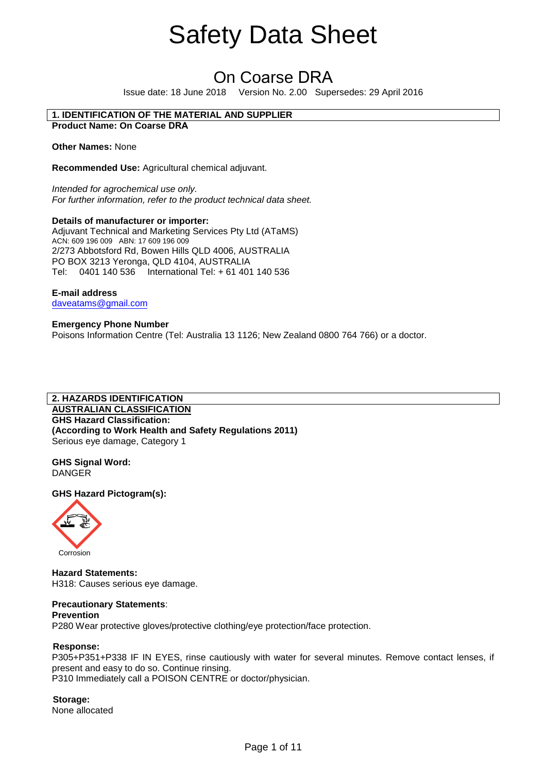# On Coarse DRA

Issue date: 18 June 2018 Version No. 2.00 Supersedes: 29 April 2016

# **1. IDENTIFICATION OF THE MATERIAL AND SUPPLIER**

**Product Name: On Coarse DRA**

**Other Names:** None

**Recommended Use:** Agricultural chemical adjuvant.

*Intended for agrochemical use only. For further information, refer to the product technical data sheet.* 

# **Details of manufacturer or importer:**

Adjuvant Technical and Marketing Services Pty Ltd (ATaMS) ACN: 609 196 009 ABN: 17 609 196 009 2/273 Abbotsford Rd, Bowen Hills QLD 4006, AUSTRALIA PO BOX 3213 Yeronga, QLD 4104, AUSTRALIA Tel: 0401 140 536 International Tel: + 61 401 140 536

**E-mail address** daveatams@gmail.com

**Emergency Phone Number**  Poisons Information Centre (Tel: Australia 13 1126; New Zealand 0800 764 766) or a doctor.

# **2. HAZARDS IDENTIFICATION**

**AUSTRALIAN CLASSIFICATION GHS Hazard Classification: (According to Work Health and Safety Regulations 2011)**  Serious eye damage, Category 1

**GHS Signal Word:** DANGER

**GHS Hazard Pictogram(s):** 



**Hazard Statements:** H318: Causes serious eye damage.

# **Precautionary Statements**:

# **Prevention**

P280 Wear protective gloves/protective clothing/eye protection/face protection.

# **Response:**

P305+P351+P338 IF IN EYES, rinse cautiously with water for several minutes. Remove contact lenses, if present and easy to do so. Continue rinsing. P310 Immediately call a POISON CENTRE or doctor/physician.

**Storage:** None allocated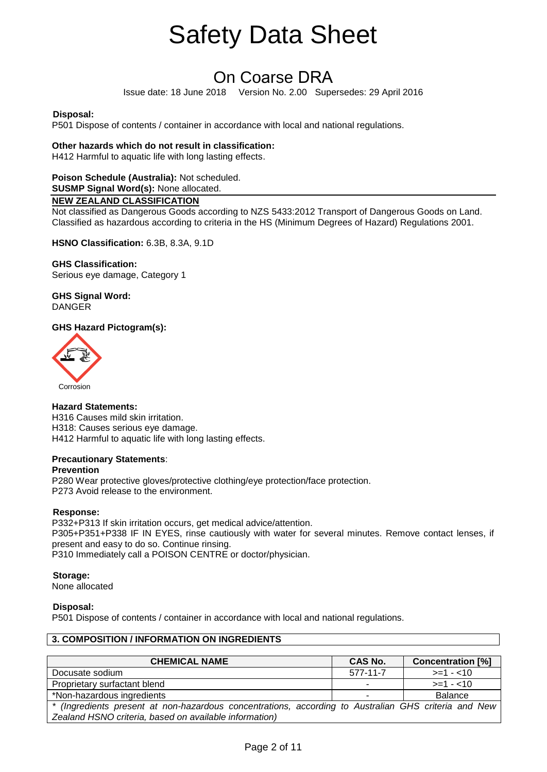# On Coarse DRA

Issue date: 18 June 2018 Version No. 2.00 Supersedes: 29 April 2016

# **Disposal:**

P501 Dispose of contents / container in accordance with local and national regulations.

# **Other hazards which do not result in classification:**

H412 Harmful to aquatic life with long lasting effects.

# **Poison Schedule (Australia):** Not scheduled.

**SUSMP Signal Word(s):** None allocated.

# **NEW ZEALAND CLASSIFICATION**

Not classified as Dangerous Goods according to NZS 5433:2012 Transport of Dangerous Goods on Land. Classified as hazardous according to criteria in the HS (Minimum Degrees of Hazard) Regulations 2001.

**HSNO Classification:** 6.3B, 8.3A, 9.1D

**GHS Classification:**  Serious eye damage, Category 1

**GHS Signal Word:** DANGER

# **GHS Hazard Pictogram(s):**



# **Hazard Statements:**

H316 Causes mild skin irritation. H318: Causes serious eye damage. H412 Harmful to aquatic life with long lasting effects.

# **Precautionary Statements**:

# **Prevention**

P280 Wear protective gloves/protective clothing/eye protection/face protection. P273 Avoid release to the environment.

# **Response:**

P332+P313 If skin irritation occurs, get medical advice/attention. P305+P351+P338 IF IN EYES, rinse cautiously with water for several minutes. Remove contact lenses, if present and easy to do so. Continue rinsing. P310 Immediately call a POISON CENTRE or doctor/physician.

# **Storage:**

None allocated

# **Disposal:**

P501 Dispose of contents / container in accordance with local and national regulations.

# **3. COMPOSITION / INFORMATION ON INGREDIENTS**

| <b>CHEMICAL NAME</b>                                                                                 | CAS No.                  | <b>Concentration [%]</b> |
|------------------------------------------------------------------------------------------------------|--------------------------|--------------------------|
| Docusate sodium                                                                                      | 577-11-7                 | $>=1 - 10$               |
| Proprietary surfactant blend                                                                         | $\overline{\phantom{0}}$ | $>=1 - 10$               |
| *Non-hazardous ingredients                                                                           |                          | Balance                  |
| * (Ingredients present at non-hazardous concentrations, according to Australian GHS criteria and New |                          |                          |
| Zealand HSNO criteria, based on available information)                                               |                          |                          |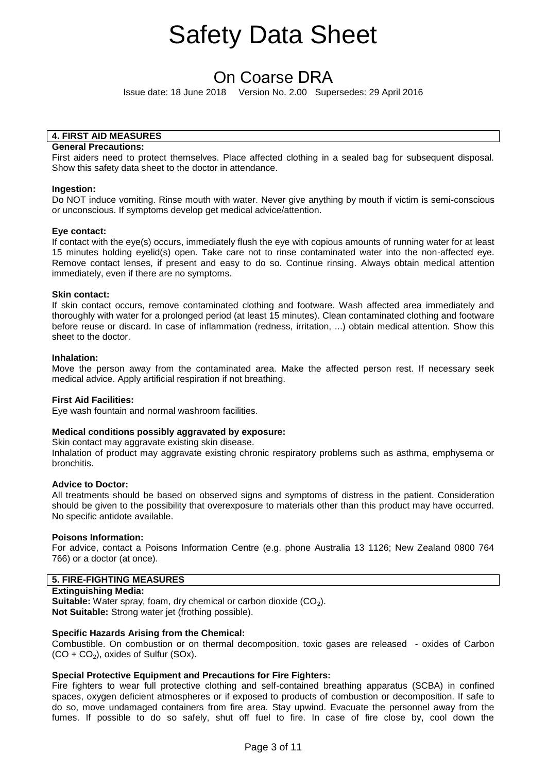# On Coarse DRA

Issue date: 18 June 2018 Version No. 2.00 Supersedes: 29 April 2016

# **4. FIRST AID MEASURES**

# **General Precautions:**

First aiders need to protect themselves. Place affected clothing in a sealed bag for subsequent disposal. Show this safety data sheet to the doctor in attendance.

#### **Ingestion:**

Do NOT induce vomiting. Rinse mouth with water. Never give anything by mouth if victim is semi-conscious or unconscious. If symptoms develop get medical advice/attention.

# **Eye contact:**

If contact with the eye(s) occurs, immediately flush the eye with copious amounts of running water for at least 15 minutes holding eyelid(s) open. Take care not to rinse contaminated water into the non-affected eye. Remove contact lenses, if present and easy to do so. Continue rinsing. Always obtain medical attention immediately, even if there are no symptoms.

#### **Skin contact:**

If skin contact occurs, remove contaminated clothing and footware. Wash affected area immediately and thoroughly with water for a prolonged period (at least 15 minutes). Clean contaminated clothing and footware before reuse or discard. In case of inflammation (redness, irritation, ...) obtain medical attention. Show this sheet to the doctor.

#### **Inhalation:**

Move the person away from the contaminated area. Make the affected person rest. If necessary seek medical advice. Apply artificial respiration if not breathing.

#### **First Aid Facilities:**

Eye wash fountain and normal washroom facilities.

# **Medical conditions possibly aggravated by exposure:**

Skin contact may aggravate existing skin disease.

Inhalation of product may aggravate existing chronic respiratory problems such as asthma, emphysema or bronchitis.

#### **Advice to Doctor:**

All treatments should be based on observed signs and symptoms of distress in the patient. Consideration should be given to the possibility that overexposure to materials other than this product may have occurred. No specific antidote available.

#### **Poisons Information:**

For advice, contact a Poisons Information Centre (e.g. phone Australia 13 1126; New Zealand 0800 764 766) or a doctor (at once).

# **5. FIRE-FIGHTING MEASURES**

#### **Extinguishing Media:**

**Suitable:** Water spray, foam, dry chemical or carbon dioxide (CO<sub>2</sub>). **Not Suitable:** Strong water jet (frothing possible).

# **Specific Hazards Arising from the Chemical:**

Combustible. On combustion or on thermal decomposition, toxic gases are released - oxides of Carbon  $(CO + CO<sub>2</sub>)$ , oxides of Sulfur (SOx).

# **Special Protective Equipment and Precautions for Fire Fighters:**

Fire fighters to wear full protective clothing and self-contained breathing apparatus (SCBA) in confined spaces, oxygen deficient atmospheres or if exposed to products of combustion or decomposition. If safe to do so, move undamaged containers from fire area. Stay upwind. Evacuate the personnel away from the fumes. If possible to do so safely, shut off fuel to fire. In case of fire close by, cool down the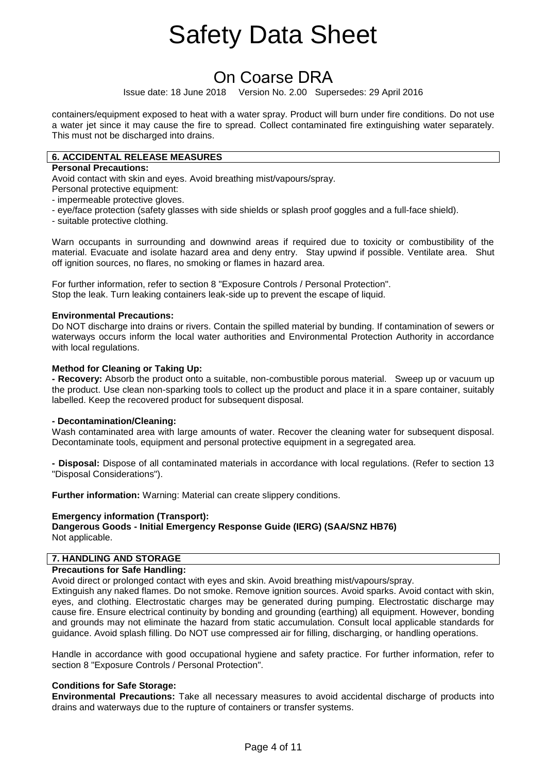# On Coarse DRA

Issue date: 18 June 2018 Version No. 2.00 Supersedes: 29 April 2016

containers/equipment exposed to heat with a water spray. Product will burn under fire conditions. Do not use a water jet since it may cause the fire to spread. Collect contaminated fire extinguishing water separately. This must not be discharged into drains.

# **6. ACCIDENTAL RELEASE MEASURES**

# **Personal Precautions:**

Avoid contact with skin and eyes. Avoid breathing mist/vapours/spray.

- Personal protective equipment:
- impermeable protective gloves.
- eye/face protection (safety glasses with side shields or splash proof goggles and a full-face shield).
- suitable protective clothing.

Warn occupants in surrounding and downwind areas if required due to toxicity or combustibility of the material. Evacuate and isolate hazard area and deny entry. Stay upwind if possible. Ventilate area. Shut off ignition sources, no flares, no smoking or flames in hazard area.

For further information, refer to section 8 "Exposure Controls / Personal Protection". Stop the leak. Turn leaking containers leak-side up to prevent the escape of liquid.

# **Environmental Precautions:**

Do NOT discharge into drains or rivers. Contain the spilled material by bunding. If contamination of sewers or waterways occurs inform the local water authorities and Environmental Protection Authority in accordance with local regulations.

# **Method for Cleaning or Taking Up:**

**- Recovery:** Absorb the product onto a suitable, non-combustible porous material. Sweep up or vacuum up the product. Use clean non-sparking tools to collect up the product and place it in a spare container, suitably labelled. Keep the recovered product for subsequent disposal.

# **- Decontamination/Cleaning:**

Wash contaminated area with large amounts of water. Recover the cleaning water for subsequent disposal. Decontaminate tools, equipment and personal protective equipment in a segregated area.

**- Disposal:** Dispose of all contaminated materials in accordance with local regulations. (Refer to section 13 "Disposal Considerations").

**Further information:** Warning: Material can create slippery conditions.

# **Emergency information (Transport):**

**Dangerous Goods - Initial Emergency Response Guide (IERG) (SAA/SNZ HB76)**  Not applicable.

# **7. HANDLING AND STORAGE**

# **Precautions for Safe Handling:**

Avoid direct or prolonged contact with eyes and skin. Avoid breathing mist/vapours/spray.

Extinguish any naked flames. Do not smoke. Remove ignition sources. Avoid sparks. Avoid contact with skin, eyes, and clothing. Electrostatic charges may be generated during pumping. Electrostatic discharge may cause fire. Ensure electrical continuity by bonding and grounding (earthing) all equipment. However, bonding and grounds may not eliminate the hazard from static accumulation. Consult local applicable standards for guidance. Avoid splash filling. Do NOT use compressed air for filling, discharging, or handling operations.

Handle in accordance with good occupational hygiene and safety practice. For further information, refer to section 8 "Exposure Controls / Personal Protection".

# **Conditions for Safe Storage:**

**Environmental Precautions:** Take all necessary measures to avoid accidental discharge of products into drains and waterways due to the rupture of containers or transfer systems.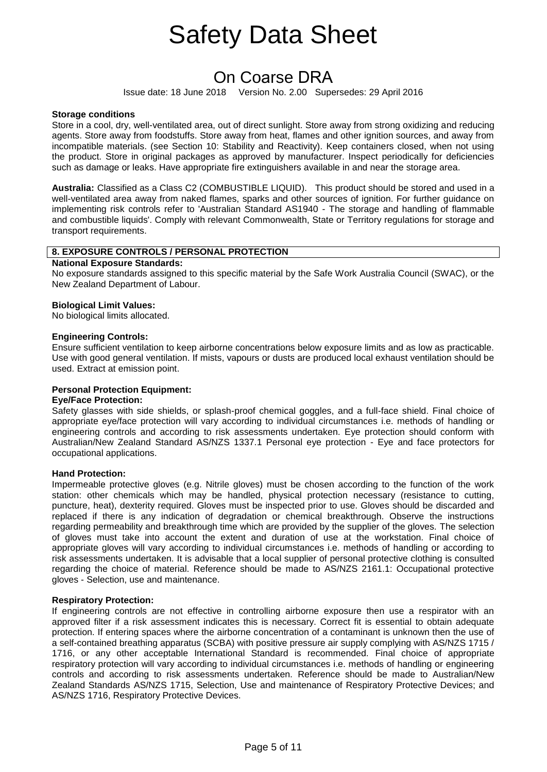# On Coarse DRA

Issue date: 18 June 2018 Version No. 2.00 Supersedes: 29 April 2016

# **Storage conditions**

Store in a cool, dry, well-ventilated area, out of direct sunlight. Store away from strong oxidizing and reducing agents. Store away from foodstuffs. Store away from heat, flames and other ignition sources, and away from incompatible materials. (see Section 10: Stability and Reactivity). Keep containers closed, when not using the product. Store in original packages as approved by manufacturer. Inspect periodically for deficiencies such as damage or leaks. Have appropriate fire extinguishers available in and near the storage area.

**Australia:** Classified as a Class C2 (COMBUSTIBLE LIQUID). This product should be stored and used in a well-ventilated area away from naked flames, sparks and other sources of ignition. For further guidance on implementing risk controls refer to 'Australian Standard AS1940 - The storage and handling of flammable and combustible liquids'. Comply with relevant Commonwealth, State or Territory regulations for storage and transport requirements.

# **8. EXPOSURE CONTROLS / PERSONAL PROTECTION**

#### **National Exposure Standards:**

No exposure standards assigned to this specific material by the Safe Work Australia Council (SWAC), or the New Zealand Department of Labour.

#### **Biological Limit Values:**

No biological limits allocated.

#### **Engineering Controls:**

Ensure sufficient ventilation to keep airborne concentrations below exposure limits and as low as practicable. Use with good general ventilation. If mists, vapours or dusts are produced local exhaust ventilation should be used. Extract at emission point.

# **Personal Protection Equipment:**

#### **Eye/Face Protection:**

Safety glasses with side shields, or splash-proof chemical goggles, and a full-face shield. Final choice of appropriate eye/face protection will vary according to individual circumstances i.e. methods of handling or engineering controls and according to risk assessments undertaken. Eye protection should conform with Australian/New Zealand Standard AS/NZS 1337.1 Personal eye protection - Eye and face protectors for occupational applications.

# **Hand Protection:**

Impermeable protective gloves (e.g. Nitrile gloves) must be chosen according to the function of the work station: other chemicals which may be handled, physical protection necessary (resistance to cutting, puncture, heat), dexterity required. Gloves must be inspected prior to use. Gloves should be discarded and replaced if there is any indication of degradation or chemical breakthrough. Observe the instructions regarding permeability and breakthrough time which are provided by the supplier of the gloves. The selection of gloves must take into account the extent and duration of use at the workstation. Final choice of appropriate gloves will vary according to individual circumstances i.e. methods of handling or according to risk assessments undertaken. It is advisable that a local supplier of personal protective clothing is consulted regarding the choice of material. Reference should be made to AS/NZS 2161.1: Occupational protective gloves - Selection, use and maintenance.

# **Respiratory Protection:**

If engineering controls are not effective in controlling airborne exposure then use a respirator with an approved filter if a risk assessment indicates this is necessary. Correct fit is essential to obtain adequate protection. If entering spaces where the airborne concentration of a contaminant is unknown then the use of a self-contained breathing apparatus (SCBA) with positive pressure air supply complying with AS/NZS 1715 / 1716, or any other acceptable International Standard is recommended. Final choice of appropriate respiratory protection will vary according to individual circumstances i.e. methods of handling or engineering controls and according to risk assessments undertaken. Reference should be made to Australian/New Zealand Standards AS/NZS 1715, Selection, Use and maintenance of Respiratory Protective Devices; and AS/NZS 1716, Respiratory Protective Devices.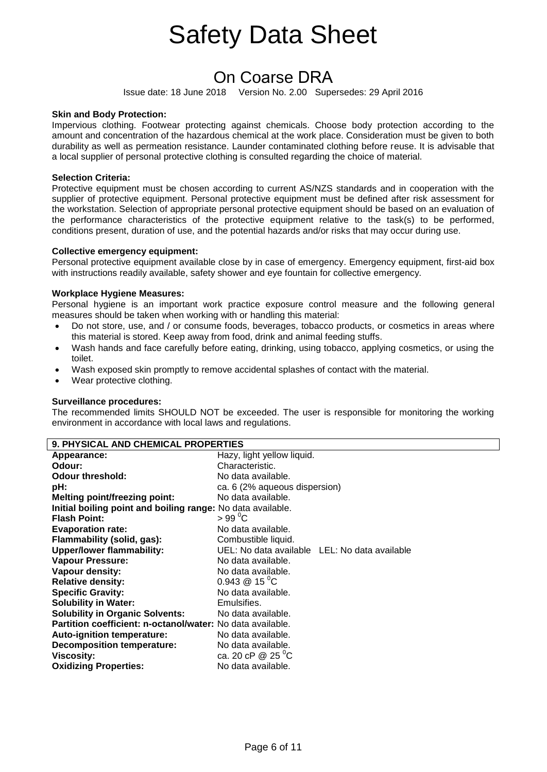# On Coarse DRA

Issue date: 18 June 2018 Version No. 2.00 Supersedes: 29 April 2016

# **Skin and Body Protection:**

Impervious clothing. Footwear protecting against chemicals. Choose body protection according to the amount and concentration of the hazardous chemical at the work place. Consideration must be given to both durability as well as permeation resistance. Launder contaminated clothing before reuse. It is advisable that a local supplier of personal protective clothing is consulted regarding the choice of material.

# **Selection Criteria:**

Protective equipment must be chosen according to current AS/NZS standards and in cooperation with the supplier of protective equipment. Personal protective equipment must be defined after risk assessment for the workstation. Selection of appropriate personal protective equipment should be based on an evaluation of the performance characteristics of the protective equipment relative to the task(s) to be performed, conditions present, duration of use, and the potential hazards and/or risks that may occur during use.

#### **Collective emergency equipment:**

Personal protective equipment available close by in case of emergency. Emergency equipment, first-aid box with instructions readily available, safety shower and eye fountain for collective emergency.

# **Workplace Hygiene Measures:**

Personal hygiene is an important work practice exposure control measure and the following general measures should be taken when working with or handling this material:

- Do not store, use, and / or consume foods, beverages, tobacco products, or cosmetics in areas where this material is stored. Keep away from food, drink and animal feeding stuffs.
- Wash hands and face carefully before eating, drinking, using tobacco, applying cosmetics, or using the toilet.
- Wash exposed skin promptly to remove accidental splashes of contact with the material.
- Wear protective clothing.

# **Surveillance procedures:**

The recommended limits SHOULD NOT be exceeded. The user is responsible for monitoring the working environment in accordance with local laws and regulations.

| <b>9. PHYSICAL AND CHEMICAL PROPERTIES</b>                  |                                               |  |  |
|-------------------------------------------------------------|-----------------------------------------------|--|--|
| Appearance:                                                 | Hazy, light yellow liquid.                    |  |  |
| Odour:                                                      | Characteristic.                               |  |  |
| <b>Odour threshold:</b>                                     | No data available.                            |  |  |
| pH:                                                         | ca. 6 (2% aqueous dispersion)                 |  |  |
| <b>Melting point/freezing point:</b>                        | No data available.                            |  |  |
| Initial boiling point and boiling range: No data available. |                                               |  |  |
| <b>Flash Point:</b>                                         | $> 99^{\circ}$ C                              |  |  |
| <b>Evaporation rate:</b>                                    | No data available.                            |  |  |
| Flammability (solid, gas):                                  | Combustible liquid.                           |  |  |
| <b>Upper/lower flammability:</b>                            | UEL: No data available LEL: No data available |  |  |
| <b>Vapour Pressure:</b>                                     | No data available.                            |  |  |
| Vapour density:                                             | No data available.                            |  |  |
| <b>Relative density:</b>                                    | $0.943 \& 15 \text{ °C}$                      |  |  |
| <b>Specific Gravity:</b>                                    | No data available.                            |  |  |
| <b>Solubility in Water:</b>                                 | Emulsifies.                                   |  |  |
| <b>Solubility in Organic Solvents:</b>                      | No data available.                            |  |  |
| Partition coefficient: n-octanol/water: No data available.  |                                               |  |  |
| <b>Auto-ignition temperature:</b>                           | No data available.                            |  |  |
| <b>Decomposition temperature:</b>                           | No data available.                            |  |  |
| <b>Viscosity:</b>                                           | ca. 20 cP @ 25 °C                             |  |  |
| <b>Oxidizing Properties:</b>                                | No data available.                            |  |  |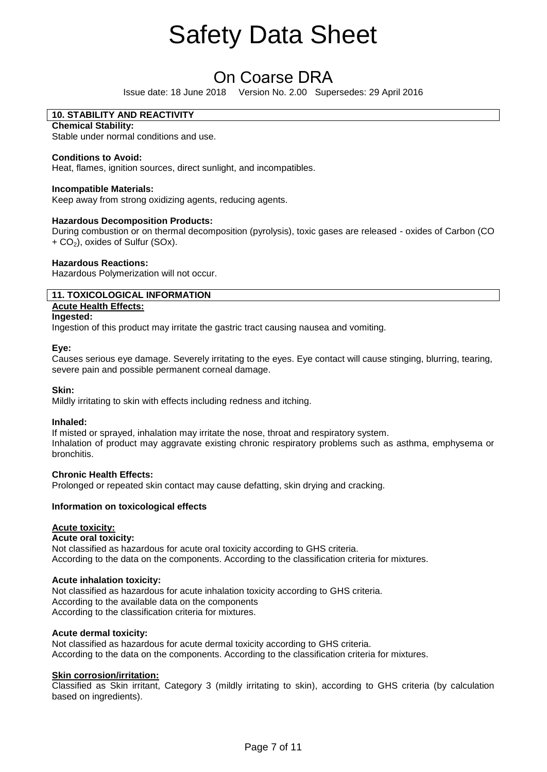# On Coarse DRA

Issue date: 18 June 2018 Version No. 2.00 Supersedes: 29 April 2016

# **10. STABILITY AND REACTIVITY**

**Chemical Stability:** Stable under normal conditions and use.

# **Conditions to Avoid:**

Heat, flames, ignition sources, direct sunlight, and incompatibles.

# **Incompatible Materials:**

Keep away from strong oxidizing agents, reducing agents.

# **Hazardous Decomposition Products:**

During combustion or on thermal decomposition (pyrolysis), toxic gases are released - oxides of Carbon (CO  $+$  CO<sub>2</sub>), oxides of Sulfur (SOx).

# **Hazardous Reactions:**

Hazardous Polymerization will not occur.

# **11. TOXICOLOGICAL INFORMATION**

# **Acute Health Effects:**

**Ingested:** 

Ingestion of this product may irritate the gastric tract causing nausea and vomiting.

# **Eye:**

Causes serious eye damage. Severely irritating to the eyes. Eye contact will cause stinging, blurring, tearing, severe pain and possible permanent corneal damage.

# **Skin:**

Mildly irritating to skin with effects including redness and itching.

# **Inhaled:**

If misted or sprayed, inhalation may irritate the nose, throat and respiratory system. Inhalation of product may aggravate existing chronic respiratory problems such as asthma, emphysema or bronchitis.

# **Chronic Health Effects:**

Prolonged or repeated skin contact may cause defatting, skin drying and cracking.

# **Information on toxicological effects**

# **Acute toxicity:**

# **Acute oral toxicity:**

Not classified as hazardous for acute oral toxicity according to GHS criteria. According to the data on the components. According to the classification criteria for mixtures.

# **Acute inhalation toxicity:**

Not classified as hazardous for acute inhalation toxicity according to GHS criteria. According to the available data on the components According to the classification criteria for mixtures.

# **Acute dermal toxicity:**

Not classified as hazardous for acute dermal toxicity according to GHS criteria. According to the data on the components. According to the classification criteria for mixtures.

# **Skin corrosion/irritation:**

Classified as Skin irritant, Category 3 (mildly irritating to skin), according to GHS criteria (by calculation based on ingredients).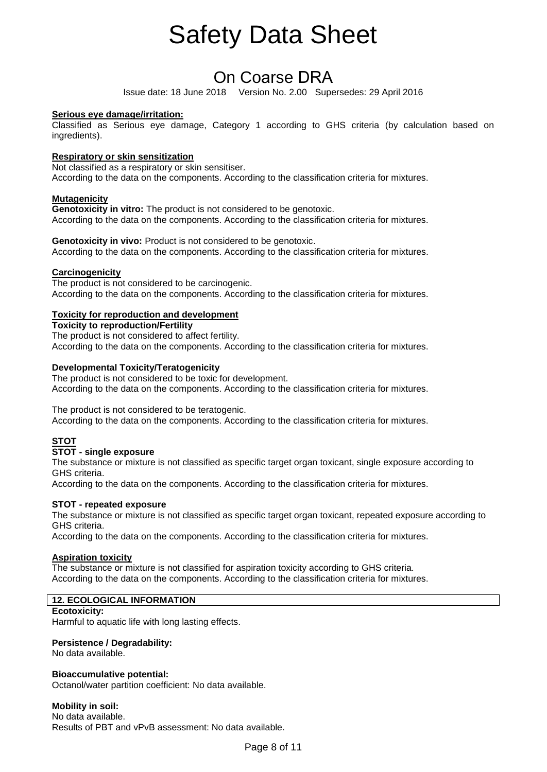# On Coarse DRA

Issue date: 18 June 2018 Version No. 2.00 Supersedes: 29 April 2016

# **Serious eye damage/irritation:**

Classified as Serious eye damage, Category 1 according to GHS criteria (by calculation based on ingredients).

# **Respiratory or skin sensitization**

Not classified as a respiratory or skin sensitiser. According to the data on the components. According to the classification criteria for mixtures.

# **Mutagenicity**

**Genotoxicity in vitro:** The product is not considered to be genotoxic. According to the data on the components. According to the classification criteria for mixtures.

**Genotoxicity in vivo:** Product is not considered to be genotoxic. According to the data on the components. According to the classification criteria for mixtures.

# **Carcinogenicity**

The product is not considered to be carcinogenic. According to the data on the components. According to the classification criteria for mixtures.

# **Toxicity for reproduction and development**

**Toxicity to reproduction/Fertility**  The product is not considered to affect fertility. According to the data on the components. According to the classification criteria for mixtures.

# **Developmental Toxicity/Teratogenicity**

The product is not considered to be toxic for development. According to the data on the components. According to the classification criteria for mixtures.

The product is not considered to be teratogenic.

According to the data on the components. According to the classification criteria for mixtures.

# **STOT**

# **STOT - single exposure**

The substance or mixture is not classified as specific target organ toxicant, single exposure according to GHS criteria.

According to the data on the components. According to the classification criteria for mixtures.

# **STOT - repeated exposure**

The substance or mixture is not classified as specific target organ toxicant, repeated exposure according to GHS criteria.

According to the data on the components. According to the classification criteria for mixtures.

# **Aspiration toxicity**

The substance or mixture is not classified for aspiration toxicity according to GHS criteria. According to the data on the components. According to the classification criteria for mixtures.

# **12. ECOLOGICAL INFORMATION**

# **Ecotoxicity:**

Harmful to aquatic life with long lasting effects.

# **Persistence / Degradability:**

No data available.

# **Bioaccumulative potential:**

Octanol/water partition coefficient: No data available.

**Mobility in soil:**  No data available. Results of PBT and vPvB assessment: No data available.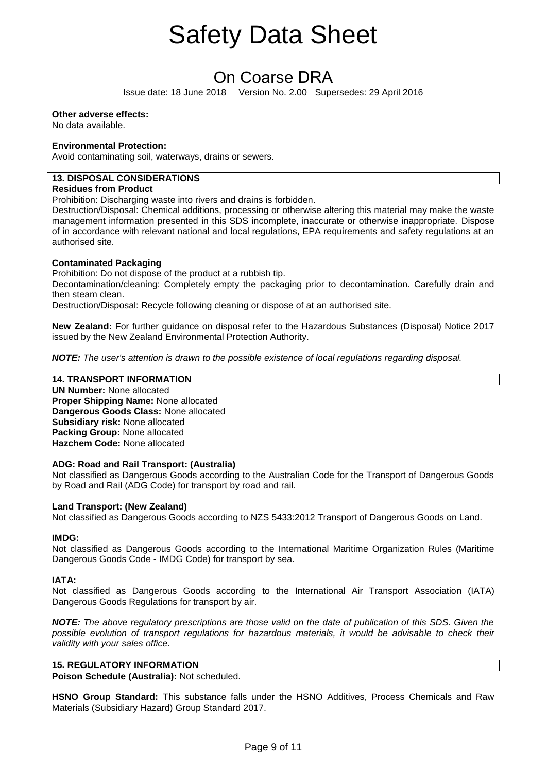# On Coarse DRA

Issue date: 18 June 2018 Version No. 2.00 Supersedes: 29 April 2016

# **Other adverse effects:**

No data available.

# **Environmental Protection:**

Avoid contaminating soil, waterways, drains or sewers.

# **13. DISPOSAL CONSIDERATIONS**

# **Residues from Product**

Prohibition: Discharging waste into rivers and drains is forbidden.

Destruction/Disposal: Chemical additions, processing or otherwise altering this material may make the waste management information presented in this SDS incomplete, inaccurate or otherwise inappropriate. Dispose of in accordance with relevant national and local regulations, EPA requirements and safety regulations at an authorised site.

# **Contaminated Packaging**

Prohibition: Do not dispose of the product at a rubbish tip.

Decontamination/cleaning: Completely empty the packaging prior to decontamination. Carefully drain and then steam clean.

Destruction/Disposal: Recycle following cleaning or dispose of at an authorised site.

**New Zealand:** For further guidance on disposal refer to the Hazardous Substances (Disposal) Notice 2017 issued by the New Zealand Environmental Protection Authority.

*NOTE: The user's attention is drawn to the possible existence of local regulations regarding disposal.*

# **14. TRANSPORT INFORMATION**

**UN Number:** None allocated **Proper Shipping Name:** None allocated **Dangerous Goods Class:** None allocated **Subsidiary risk:** None allocated **Packing Group:** None allocated **Hazchem Code:** None allocated

# **ADG: Road and Rail Transport: (Australia)**

Not classified as Dangerous Goods according to the Australian Code for the Transport of Dangerous Goods by Road and Rail (ADG Code) for transport by road and rail.

# **Land Transport: (New Zealand)**

Not classified as Dangerous Goods according to NZS 5433:2012 Transport of Dangerous Goods on Land.

# **IMDG:**

Not classified as Dangerous Goods according to the International Maritime Organization Rules (Maritime Dangerous Goods Code - IMDG Code) for transport by sea.

# **IATA:**

Not classified as Dangerous Goods according to the International Air Transport Association (IATA) Dangerous Goods Regulations for transport by air.

*NOTE: The above regulatory prescriptions are those valid on the date of publication of this SDS. Given the possible evolution of transport regulations for hazardous materials, it would be advisable to check their validity with your sales office.* 

# **15. REGULATORY INFORMATION**

**Poison Schedule (Australia):** Not scheduled.

**HSNO Group Standard:** This substance falls under the HSNO Additives, Process Chemicals and Raw Materials (Subsidiary Hazard) Group Standard 2017.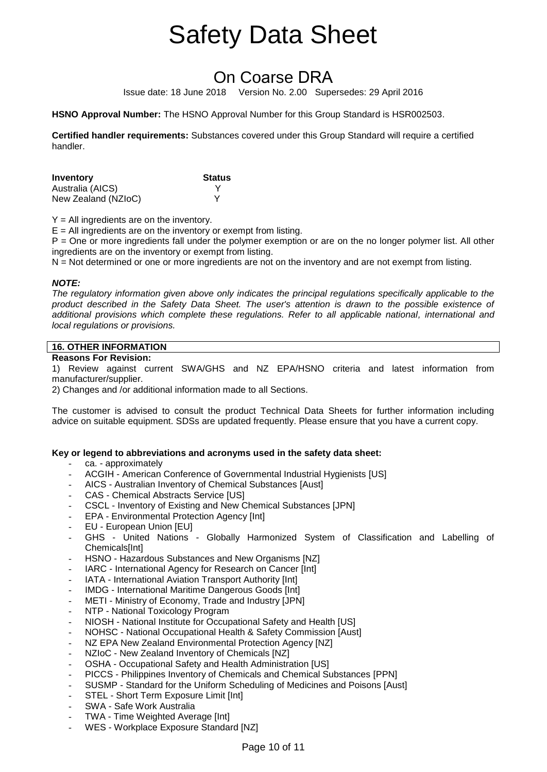# On Coarse DRA

Issue date: 18 June 2018 Version No. 2.00 Supersedes: 29 April 2016

**HSNO Approval Number:** The HSNO Approval Number for this Group Standard is HSR002503.

**Certified handler requirements:** Substances covered under this Group Standard will require a certified handler.

| Inventory           | <b>Status</b> |
|---------------------|---------------|
| Australia (AICS)    |               |
| New Zealand (NZIoC) |               |

 $Y = All$  ingredients are on the inventory.

 $E =$  All ingredients are on the inventory or exempt from listing.

P = One or more ingredients fall under the polymer exemption or are on the no longer polymer list. All other ingredients are on the inventory or exempt from listing.

N = Not determined or one or more ingredients are not on the inventory and are not exempt from listing.

# *NOTE:*

*The regulatory information given above only indicates the principal regulations specifically applicable to the product described in the Safety Data Sheet. The user's attention is drawn to the possible existence of additional provisions which complete these regulations. Refer to all applicable national, international and local regulations or provisions.* 

# **16. OTHER INFORMATION**

# **Reasons For Revision:**

1) Review against current SWA/GHS and NZ EPA/HSNO criteria and latest information from manufacturer/supplier.

2) Changes and /or additional information made to all Sections.

The customer is advised to consult the product Technical Data Sheets for further information including advice on suitable equipment. SDSs are updated frequently. Please ensure that you have a current copy.

# **Key or legend to abbreviations and acronyms used in the safety data sheet:**

- ca. approximately
- ACGIH American Conference of Governmental Industrial Hygienists [US]
- AICS Australian Inventory of Chemical Substances [Aust]
- CAS Chemical Abstracts Service [US]
- CSCL Inventory of Existing and New Chemical Substances [JPN]
- EPA Environmental Protection Agency [Int]
- EU European Union [EU]
- GHS United Nations Globally Harmonized System of Classification and Labelling of Chemicals[Int]
- HSNO Hazardous Substances and New Organisms [NZ]
- IARC International Agency for Research on Cancer [Int]
- IATA International Aviation Transport Authority [Int]
- IMDG International Maritime Dangerous Goods [Int]
- METI Ministry of Economy, Trade and Industry [JPN]
- NTP National Toxicology Program
- NIOSH National Institute for Occupational Safety and Health [US]
- NOHSC National Occupational Health & Safety Commission [Aust]
- NZ EPA New Zealand Environmental Protection Agency [NZ]
- NZIoC New Zealand Inventory of Chemicals [NZ]
- OSHA Occupational Safety and Health Administration [US]
- PICCS Philippines Inventory of Chemicals and Chemical Substances [PPN]
- SUSMP Standard for the Uniform Scheduling of Medicines and Poisons [Aust]
- STEL Short Term Exposure Limit [Int]
- SWA Safe Work Australia
- TWA Time Weighted Average [Int]
- WES Workplace Exposure Standard [NZ]